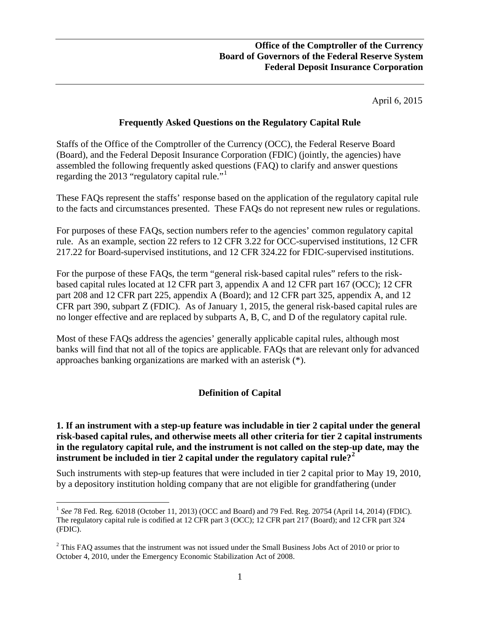April 6, 2015

#### **Frequently Asked Questions on the Regulatory Capital Rule**

Staffs of the Office of the Comptroller of the Currency (OCC), the Federal Reserve Board (Board), and the Federal Deposit Insurance Corporation (FDIC) (jointly, the agencies) have assembled the following frequently asked questions (FAQ) to clarify and answer questions regarding the 20[1](#page-0-0)3 "regulatory capital rule."<sup>1</sup>

These FAQs represent the staffs' response based on the application of the regulatory capital rule to the facts and circumstances presented. These FAQs do not represent new rules or regulations.

For purposes of these FAQs, section numbers refer to the agencies' common regulatory capital rule. As an example, section 22 refers to 12 CFR 3.22 for OCC-supervised institutions, 12 CFR 217.22 for Board-supervised institutions, and 12 CFR 324.22 for FDIC-supervised institutions.

For the purpose of these FAQs, the term "general risk-based capital rules" refers to the riskbased capital rules located at 12 CFR part 3, appendix A and 12 CFR part 167 (OCC); 12 CFR part 208 and 12 CFR part 225, appendix A (Board); and 12 CFR part 325, appendix A, and 12 CFR part 390, subpart Z (FDIC). As of January 1, 2015, the general risk-based capital rules are no longer effective and are replaced by subparts A, B, C, and D of the regulatory capital rule.

Most of these FAQs address the agencies' generally applicable capital rules, although most banks will find that not all of the topics are applicable. FAQs that are relevant only for advanced approaches banking organizations are marked with an asterisk (\*).

## **Definition of Capital**

**1. If an instrument with a step-up feature was includable in tier 2 capital under the general risk-based capital rules, and otherwise meets all other criteria for tier 2 capital instruments in the regulatory capital rule, and the instrument is not called on the step-up date, may the instrument be included in tier 2 capital under the regulatory capital rule?[2](#page-0-1)** 

Such instruments with step-up features that were included in tier 2 capital prior to May 19, 2010, by a depository institution holding company that are not eligible for grandfathering (under

<span id="page-0-0"></span><sup>&</sup>lt;sup>1</sup> See 78 Fed. Reg. 62018 (October 11, 2013) (OCC and Board) and 79 Fed. Reg. 20754 (April 14, 2014) (FDIC). The regulatory capital rule is codified at 12 CFR part 3 (OCC); 12 CFR part 217 (Board); and 12 CFR part 324 (FDIC).

<span id="page-0-1"></span><sup>&</sup>lt;sup>2</sup> This FAQ assumes that the instrument was not issued under the Small Business Jobs Act of 2010 or prior to October 4, 2010, under the Emergency Economic Stabilization Act of 2008.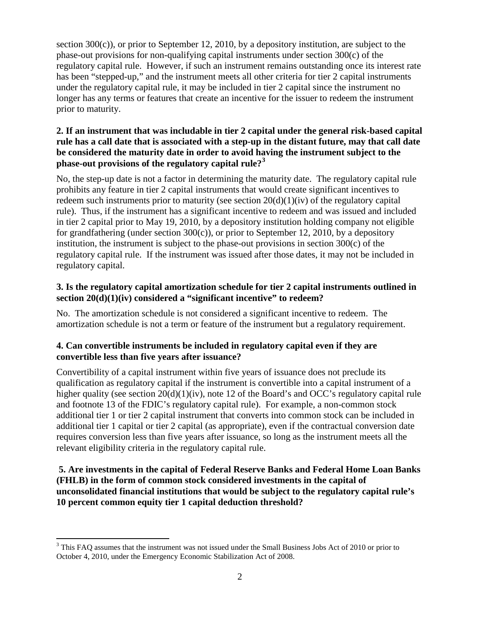section 300(c)), or prior to September 12, 2010, by a depository institution, are subject to the phase-out provisions for non-qualifying capital instruments under section 300(c) of the regulatory capital rule. However, if such an instrument remains outstanding once its interest rate has been "stepped-up," and the instrument meets all other criteria for tier 2 capital instruments under the regulatory capital rule, it may be included in tier 2 capital since the instrument no longer has any terms or features that create an incentive for the issuer to redeem the instrument prior to maturity.

## **2. If an instrument that was includable in tier 2 capital under the general risk-based capital rule has a call date that is associated with a step-up in the distant future, may that call date be considered the maturity date in order to avoid having the instrument subject to the phase-out provisions of the regulatory capital rule?[3](#page-1-0)**

No, the step-up date is not a factor in determining the maturity date. The regulatory capital rule prohibits any feature in tier 2 capital instruments that would create significant incentives to redeem such instruments prior to maturity (see section 20(d)(1)(iv) of the regulatory capital rule). Thus, if the instrument has a significant incentive to redeem and was issued and included in tier 2 capital prior to May 19, 2010, by a depository institution holding company not eligible for grandfathering (under section 300(c)), or prior to September 12, 2010, by a depository institution, the instrument is subject to the phase-out provisions in section 300(c) of the regulatory capital rule. If the instrument was issued after those dates, it may not be included in regulatory capital.

## **3. Is the regulatory capital amortization schedule for tier 2 capital instruments outlined in section 20(d)(1)(iv) considered a "significant incentive" to redeem?**

No. The amortization schedule is not considered a significant incentive to redeem. The amortization schedule is not a term or feature of the instrument but a regulatory requirement.

## **4. Can convertible instruments be included in regulatory capital even if they are convertible less than five years after issuance?**

Convertibility of a capital instrument within five years of issuance does not preclude its qualification as regulatory capital if the instrument is convertible into a capital instrument of a higher quality (see section 20(d)(1)(iv), note 12 of the Board's and OCC's regulatory capital rule and footnote 13 of the FDIC's regulatory capital rule). For example, a non-common stock additional tier 1 or tier 2 capital instrument that converts into common stock can be included in additional tier 1 capital or tier 2 capital (as appropriate), even if the contractual conversion date requires conversion less than five years after issuance, so long as the instrument meets all the relevant eligibility criteria in the regulatory capital rule.

### **5. Are investments in the capital of Federal Reserve Banks and Federal Home Loan Banks (FHLB) in the form of common stock considered investments in the capital of unconsolidated financial institutions that would be subject to the regulatory capital rule's 10 percent common equity tier 1 capital deduction threshold?**

<span id="page-1-0"></span><sup>&</sup>lt;sup>3</sup> This FAQ assumes that the instrument was not issued under the Small Business Jobs Act of 2010 or prior to October 4, 2010, under the Emergency Economic Stabilization Act of 2008. l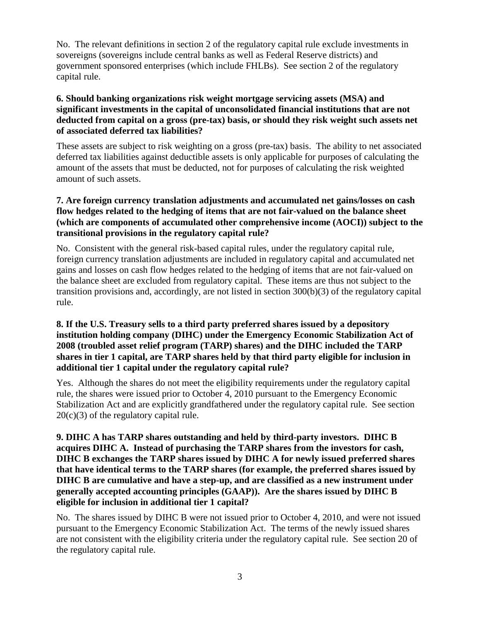No. The relevant definitions in section 2 of the regulatory capital rule exclude investments in sovereigns (sovereigns include central banks as well as Federal Reserve districts) and government sponsored enterprises (which include FHLBs). See section 2 of the regulatory capital rule.

### **6. Should banking organizations risk weight mortgage servicing assets (MSA) and significant investments in the capital of unconsolidated financial institutions that are not deducted from capital on a gross (pre-tax) basis, or should they risk weight such assets net of associated deferred tax liabilities?**

These assets are subject to risk weighting on a gross (pre-tax) basis. The ability to net associated deferred tax liabilities against deductible assets is only applicable for purposes of calculating the amount of the assets that must be deducted, not for purposes of calculating the risk weighted amount of such assets.

### **7. Are foreign currency translation adjustments and accumulated net gains/losses on cash flow hedges related to the hedging of items that are not fair-valued on the balance sheet (which are components of accumulated other comprehensive income (AOCI)) subject to the transitional provisions in the regulatory capital rule?**

No. Consistent with the general risk-based capital rules, under the regulatory capital rule, foreign currency translation adjustments are included in regulatory capital and accumulated net gains and losses on cash flow hedges related to the hedging of items that are not fair-valued on the balance sheet are excluded from regulatory capital. These items are thus not subject to the transition provisions and, accordingly, are not listed in section 300(b)(3) of the regulatory capital rule.

### **8. If the U.S. Treasury sells to a third party preferred shares issued by a depository institution holding company (DIHC) under the Emergency Economic Stabilization Act of 2008 (troubled asset relief program (TARP) shares) and the DIHC included the TARP shares in tier 1 capital, are TARP shares held by that third party eligible for inclusion in additional tier 1 capital under the regulatory capital rule?**

Yes. Although the shares do not meet the eligibility requirements under the regulatory capital rule, the shares were issued prior to October 4, 2010 pursuant to the Emergency Economic Stabilization Act and are explicitly grandfathered under the regulatory capital rule. See section  $20(c)(3)$  of the regulatory capital rule.

## **9. DIHC A has TARP shares outstanding and held by third-party investors. DIHC B acquires DIHC A. Instead of purchasing the TARP shares from the investors for cash, DIHC B exchanges the TARP shares issued by DIHC A for newly issued preferred shares that have identical terms to the TARP shares (for example, the preferred shares issued by DIHC B are cumulative and have a step-up, and are classified as a new instrument under generally accepted accounting principles (GAAP)). Are the shares issued by DIHC B eligible for inclusion in additional tier 1 capital?**

No. The shares issued by DIHC B were not issued prior to October 4, 2010, and were not issued pursuant to the Emergency Economic Stabilization Act. The terms of the newly issued shares are not consistent with the eligibility criteria under the regulatory capital rule. See section 20 of the regulatory capital rule.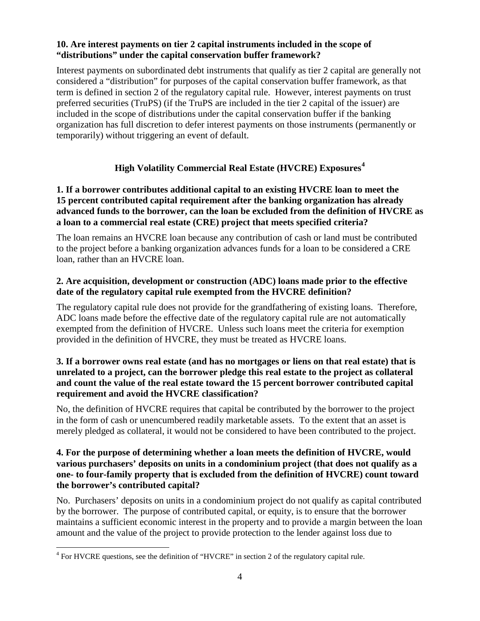#### **10. Are interest payments on tier 2 capital instruments included in the scope of "distributions" under the capital conservation buffer framework?**

Interest payments on subordinated debt instruments that qualify as tier 2 capital are generally not considered a "distribution" for purposes of the capital conservation buffer framework, as that term is defined in section 2 of the regulatory capital rule. However, interest payments on trust preferred securities (TruPS) (if the TruPS are included in the tier 2 capital of the issuer) are included in the scope of distributions under the capital conservation buffer if the banking organization has full discretion to defer interest payments on those instruments (permanently or temporarily) without triggering an event of default.

# **High Volatility Commercial Real Estate (HVCRE) Exposures[4](#page-3-0)**

## **1. If a borrower contributes additional capital to an existing HVCRE loan to meet the 15 percent contributed capital requirement after the banking organization has already advanced funds to the borrower, can the loan be excluded from the definition of HVCRE as a loan to a commercial real estate (CRE) project that meets specified criteria?**

The loan remains an HVCRE loan because any contribution of cash or land must be contributed to the project before a banking organization advances funds for a loan to be considered a CRE loan, rather than an HVCRE loan.

### **2. Are acquisition, development or construction (ADC) loans made prior to the effective date of the regulatory capital rule exempted from the HVCRE definition?**

The regulatory capital rule does not provide for the grandfathering of existing loans. Therefore, ADC loans made before the effective date of the regulatory capital rule are not automatically exempted from the definition of HVCRE. Unless such loans meet the criteria for exemption provided in the definition of HVCRE, they must be treated as HVCRE loans.

## **3. If a borrower owns real estate (and has no mortgages or liens on that real estate) that is unrelated to a project, can the borrower pledge this real estate to the project as collateral and count the value of the real estate toward the 15 percent borrower contributed capital requirement and avoid the HVCRE classification?**

No, the definition of HVCRE requires that capital be contributed by the borrower to the project in the form of cash or unencumbered readily marketable assets. To the extent that an asset is merely pledged as collateral, it would not be considered to have been contributed to the project.

### **4. For the purpose of determining whether a loan meets the definition of HVCRE, would various purchasers' deposits on units in a condominium project (that does not qualify as a one- to four-family property that is excluded from the definition of HVCRE) count toward the borrower's contributed capital?**

No. Purchasers' deposits on units in a condominium project do not qualify as capital contributed by the borrower. The purpose of contributed capital, or equity, is to ensure that the borrower maintains a sufficient economic interest in the property and to provide a margin between the loan amount and the value of the project to provide protection to the lender against loss due to

<span id="page-3-0"></span><sup>&</sup>lt;sup>4</sup> For HVCRE questions, see the definition of "HVCRE" in section 2 of the regulatory capital rule.  $\overline{\phantom{a}}$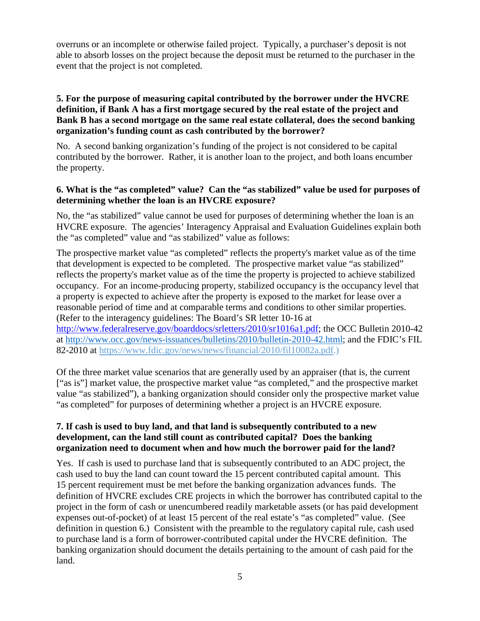overruns or an incomplete or otherwise failed project. Typically, a purchaser's deposit is not able to absorb losses on the project because the deposit must be returned to the purchaser in the event that the project is not completed.

#### **5. For the purpose of measuring capital contributed by the borrower under the HVCRE definition, if Bank A has a first mortgage secured by the real estate of the project and Bank B has a second mortgage on the same real estate collateral, does the second banking organization's funding count as cash contributed by the borrower?**

No. A second banking organization's funding of the project is not considered to be capital contributed by the borrower. Rather, it is another loan to the project, and both loans encumber the property.

### **6. What is the "as completed" value? Can the "as stabilized" value be used for purposes of determining whether the loan is an HVCRE exposure?**

No, the "as stabilized" value cannot be used for purposes of determining whether the loan is an HVCRE exposure. The agencies' Interagency Appraisal and Evaluation Guidelines explain both the "as completed" value and "as stabilized" value as follows:

The prospective market value "as completed" reflects the property's market value as of the time that development is expected to be completed. The prospective market value "as stabilized" reflects the property's market value as of the time the property is projected to achieve stabilized occupancy. For an income-producing property, stabilized occupancy is the occupancy level that a property is expected to achieve after the property is exposed to the market for lease over a reasonable period of time and at comparable terms and conditions to other similar properties. (Refer to the interagency guidelines: The Board's SR letter 10-16 at [http://www.federalreserve.gov/boarddocs/srletters/2010/sr1016a1.pdf;](http://www.federalreserve.gov/boarddocs/srletters/2010/sr1016a1.pdf) the OCC Bulletin 2010-42 at [http://www.occ.gov/news-issuances/bulletins/2010/bulletin-2010-42.html;](http://www.occ.gov/news-issuances/bulletins/2010/bulletin-2010-42.html) and the FDIC's FIL 82-2010 at [https://www.fdic.gov/news/news/financial/2010/fil10082a.pdf.](https://www.fdic.gov/news/news/financial/2010/fil10082a.pdf))

Of the three market value scenarios that are generally used by an appraiser (that is, the current ["as is"] market value, the prospective market value "as completed," and the prospective market value "as stabilized"), a banking organization should consider only the prospective market value "as completed" for purposes of determining whether a project is an HVCRE exposure.

#### **7. If cash is used to buy land, and that land is subsequently contributed to a new development, can the land still count as contributed capital? Does the banking organization need to document when and how much the borrower paid for the land?**

Yes. If cash is used to purchase land that is subsequently contributed to an ADC project, the cash used to buy the land can count toward the 15 percent contributed capital amount. This 15 percent requirement must be met before the banking organization advances funds. The definition of HVCRE excludes CRE projects in which the borrower has contributed capital to the project in the form of cash or unencumbered readily marketable assets (or has paid development expenses out-of-pocket) of at least 15 percent of the real estate's "as completed" value. (See definition in question 6.) Consistent with the preamble to the regulatory capital rule, cash used to purchase land is a form of borrower-contributed capital under the HVCRE definition. The banking organization should document the details pertaining to the amount of cash paid for the land.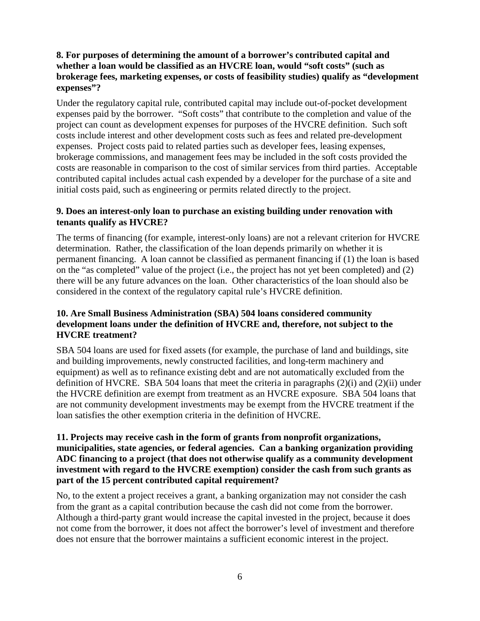### **8. For purposes of determining the amount of a borrower's contributed capital and whether a loan would be classified as an HVCRE loan, would "soft costs" (such as brokerage fees, marketing expenses, or costs of feasibility studies) qualify as "development expenses"?**

Under the regulatory capital rule, contributed capital may include out-of-pocket development expenses paid by the borrower. "Soft costs" that contribute to the completion and value of the project can count as development expenses for purposes of the HVCRE definition. Such soft costs include interest and other development costs such as fees and related pre-development expenses. Project costs paid to related parties such as developer fees, leasing expenses, brokerage commissions, and management fees may be included in the soft costs provided the costs are reasonable in comparison to the cost of similar services from third parties. Acceptable contributed capital includes actual cash expended by a developer for the purchase of a site and initial costs paid, such as engineering or permits related directly to the project.

#### **9. Does an interest-only loan to purchase an existing building under renovation with tenants qualify as HVCRE?**

The terms of financing (for example, interest-only loans) are not a relevant criterion for HVCRE determination. Rather, the classification of the loan depends primarily on whether it is permanent financing. A loan cannot be classified as permanent financing if (1) the loan is based on the "as completed" value of the project (i.e., the project has not yet been completed) and (2) there will be any future advances on the loan. Other characteristics of the loan should also be considered in the context of the regulatory capital rule's HVCRE definition.

## **10. Are Small Business Administration (SBA) 504 loans considered community development loans under the definition of HVCRE and, therefore, not subject to the HVCRE treatment?**

SBA 504 loans are used for fixed assets (for example, the purchase of land and buildings, site and building improvements, newly constructed facilities, and long-term machinery and equipment) as well as to refinance existing debt and are not automatically excluded from the definition of HVCRE. SBA 504 loans that meet the criteria in paragraphs (2)(i) and (2)(ii) under the HVCRE definition are exempt from treatment as an HVCRE exposure. SBA 504 loans that are not community development investments may be exempt from the HVCRE treatment if the loan satisfies the other exemption criteria in the definition of HVCRE.

#### **11. Projects may receive cash in the form of grants from nonprofit organizations, municipalities, state agencies, or federal agencies. Can a banking organization providing ADC financing to a project (that does not otherwise qualify as a community development investment with regard to the HVCRE exemption) consider the cash from such grants as part of the 15 percent contributed capital requirement?**

No, to the extent a project receives a grant, a banking organization may not consider the cash from the grant as a capital contribution because the cash did not come from the borrower. Although a third-party grant would increase the capital invested in the project, because it does not come from the borrower, it does not affect the borrower's level of investment and therefore does not ensure that the borrower maintains a sufficient economic interest in the project.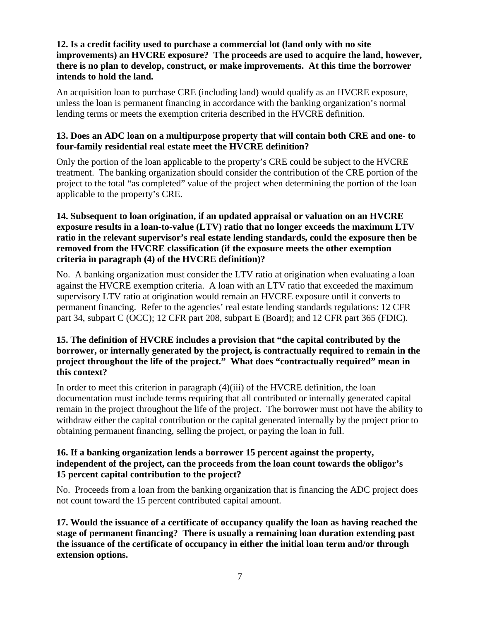### **12. Is a credit facility used to purchase a commercial lot (land only with no site improvements) an HVCRE exposure? The proceeds are used to acquire the land, however, there is no plan to develop, construct, or make improvements. At this time the borrower intends to hold the land.**

An acquisition loan to purchase CRE (including land) would qualify as an HVCRE exposure, unless the loan is permanent financing in accordance with the banking organization's normal lending terms or meets the exemption criteria described in the HVCRE definition.

## **13. Does an ADC loan on a multipurpose property that will contain both CRE and one- to four-family residential real estate meet the HVCRE definition?**

Only the portion of the loan applicable to the property's CRE could be subject to the HVCRE treatment. The banking organization should consider the contribution of the CRE portion of the project to the total "as completed" value of the project when determining the portion of the loan applicable to the property's CRE.

## **14. Subsequent to loan origination, if an updated appraisal or valuation on an HVCRE exposure results in a loan-to-value (LTV) ratio that no longer exceeds the maximum LTV ratio in the relevant supervisor's real estate lending standards, could the exposure then be removed from the HVCRE classification (if the exposure meets the other exemption criteria in paragraph (4) of the HVCRE definition)?**

No. A banking organization must consider the LTV ratio at origination when evaluating a loan against the HVCRE exemption criteria. A loan with an LTV ratio that exceeded the maximum supervisory LTV ratio at origination would remain an HVCRE exposure until it converts to permanent financing. Refer to the agencies' real estate lending standards regulations: 12 CFR part 34, subpart C (OCC); 12 CFR part 208, subpart E (Board); and 12 CFR part 365 (FDIC).

### **15. The definition of HVCRE includes a provision that "the capital contributed by the borrower, or internally generated by the project, is contractually required to remain in the project throughout the life of the project." What does "contractually required" mean in this context?**

In order to meet this criterion in paragraph (4)(iii) of the HVCRE definition, the loan documentation must include terms requiring that all contributed or internally generated capital remain in the project throughout the life of the project. The borrower must not have the ability to withdraw either the capital contribution or the capital generated internally by the project prior to obtaining permanent financing, selling the project, or paying the loan in full.

## **16. If a banking organization lends a borrower 15 percent against the property, independent of the project, can the proceeds from the loan count towards the obligor's 15 percent capital contribution to the project?**

No. Proceeds from a loan from the banking organization that is financing the ADC project does not count toward the 15 percent contributed capital amount.

**17. Would the issuance of a certificate of occupancy qualify the loan as having reached the stage of permanent financing? There is usually a remaining loan duration extending past the issuance of the certificate of occupancy in either the initial loan term and/or through extension options.**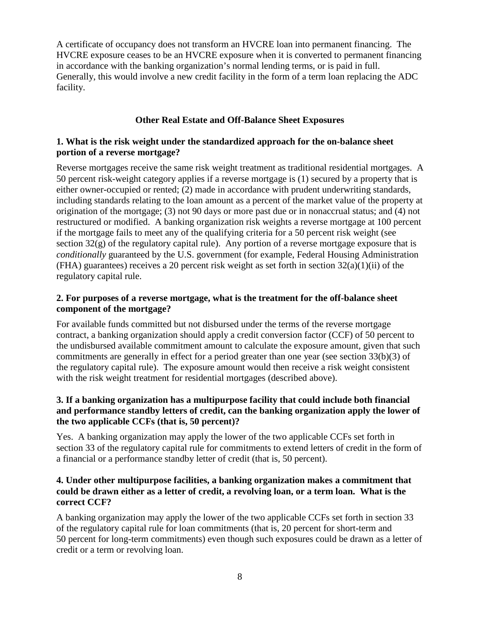A certificate of occupancy does not transform an HVCRE loan into permanent financing. The HVCRE exposure ceases to be an HVCRE exposure when it is converted to permanent financing in accordance with the banking organization's normal lending terms, or is paid in full. Generally, this would involve a new credit facility in the form of a term loan replacing the ADC facility.

## **Other Real Estate and Off-Balance Sheet Exposures**

## **1. What is the risk weight under the standardized approach for the on-balance sheet portion of a reverse mortgage?**

Reverse mortgages receive the same risk weight treatment as traditional residential mortgages. A 50 percent risk-weight category applies if a reverse mortgage is (1) secured by a property that is either owner-occupied or rented; (2) made in accordance with prudent underwriting standards, including standards relating to the loan amount as a percent of the market value of the property at origination of the mortgage; (3) not 90 days or more past due or in nonaccrual status; and (4) not restructured or modified. A banking organization risk weights a reverse mortgage at 100 percent if the mortgage fails to meet any of the qualifying criteria for a 50 percent risk weight (see section 32(g) of the regulatory capital rule). Any portion of a reverse mortgage exposure that is *conditionally* guaranteed by the U.S. government (for example, Federal Housing Administration (FHA) guarantees) receives a 20 percent risk weight as set forth in section 32(a)(1)(ii) of the regulatory capital rule.

### **2. For purposes of a reverse mortgage, what is the treatment for the off-balance sheet component of the mortgage?**

For available funds committed but not disbursed under the terms of the reverse mortgage contract, a banking organization should apply a credit conversion factor (CCF) of 50 percent to the undisbursed available commitment amount to calculate the exposure amount, given that such commitments are generally in effect for a period greater than one year (see section 33(b)(3) of the regulatory capital rule). The exposure amount would then receive a risk weight consistent with the risk weight treatment for residential mortgages (described above).

## **3. If a banking organization has a multipurpose facility that could include both financial and performance standby letters of credit, can the banking organization apply the lower of the two applicable CCFs (that is, 50 percent)?**

Yes. A banking organization may apply the lower of the two applicable CCFs set forth in section 33 of the regulatory capital rule for commitments to extend letters of credit in the form of a financial or a performance standby letter of credit (that is, 50 percent).

#### **4. Under other multipurpose facilities, a banking organization makes a commitment that could be drawn either as a letter of credit, a revolving loan, or a term loan. What is the correct CCF?**

A banking organization may apply the lower of the two applicable CCFs set forth in section 33 of the regulatory capital rule for loan commitments (that is, 20 percent for short-term and 50 percent for long-term commitments) even though such exposures could be drawn as a letter of credit or a term or revolving loan.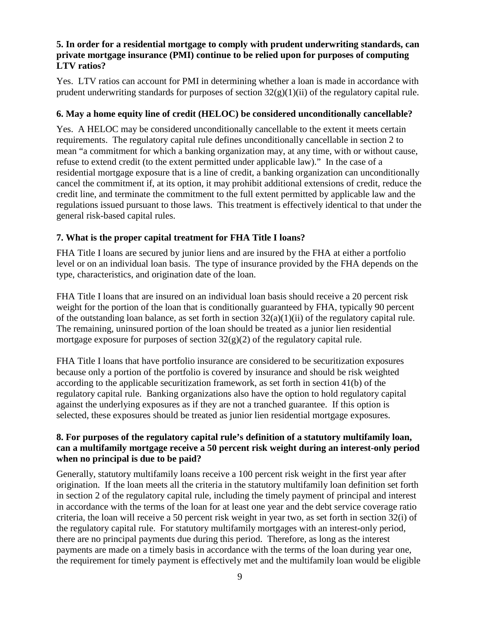#### **5. In order for a residential mortgage to comply with prudent underwriting standards, can private mortgage insurance (PMI) continue to be relied upon for purposes of computing LTV ratios?**

Yes. LTV ratios can account for PMI in determining whether a loan is made in accordance with prudent underwriting standards for purposes of section  $32(g)(1)(ii)$  of the regulatory capital rule.

## **6. May a home equity line of credit (HELOC) be considered unconditionally cancellable?**

Yes. A HELOC may be considered unconditionally cancellable to the extent it meets certain requirements. The regulatory capital rule defines unconditionally cancellable in section 2 to mean "a commitment for which a banking organization may, at any time, with or without cause, refuse to extend credit (to the extent permitted under applicable law)." In the case of a residential mortgage exposure that is a line of credit, a banking organization can unconditionally cancel the commitment if, at its option, it may prohibit additional extensions of credit, reduce the credit line, and terminate the commitment to the full extent permitted by applicable law and the regulations issued pursuant to those laws. This treatment is effectively identical to that under the general risk-based capital rules.

## **7. What is the proper capital treatment for FHA Title I loans?**

FHA Title I loans are secured by junior liens and are insured by the FHA at either a portfolio level or on an individual loan basis. The type of insurance provided by the FHA depends on the type, characteristics, and origination date of the loan.

FHA Title I loans that are insured on an individual loan basis should receive a 20 percent risk weight for the portion of the loan that is conditionally guaranteed by FHA, typically 90 percent of the outstanding loan balance, as set forth in section 32(a)(1)(ii) of the regulatory capital rule. The remaining, uninsured portion of the loan should be treated as a junior lien residential mortgage exposure for purposes of section  $32(g)(2)$  of the regulatory capital rule.

FHA Title I loans that have portfolio insurance are considered to be securitization exposures because only a portion of the portfolio is covered by insurance and should be risk weighted according to the applicable securitization framework, as set forth in section 41(b) of the regulatory capital rule. Banking organizations also have the option to hold regulatory capital against the underlying exposures as if they are not a tranched guarantee. If this option is selected, these exposures should be treated as junior lien residential mortgage exposures.

## **8. For purposes of the regulatory capital rule's definition of a statutory multifamily loan, can a multifamily mortgage receive a 50 percent risk weight during an interest-only period when no principal is due to be paid?**

Generally, statutory multifamily loans receive a 100 percent risk weight in the first year after origination. If the loan meets all the criteria in the statutory multifamily loan definition set forth in section 2 of the regulatory capital rule, including the timely payment of principal and interest in accordance with the terms of the loan for at least one year and the debt service coverage ratio criteria, the loan will receive a 50 percent risk weight in year two, as set forth in section 32(i) of the regulatory capital rule. For statutory multifamily mortgages with an interest-only period, there are no principal payments due during this period. Therefore, as long as the interest payments are made on a timely basis in accordance with the terms of the loan during year one, the requirement for timely payment is effectively met and the multifamily loan would be eligible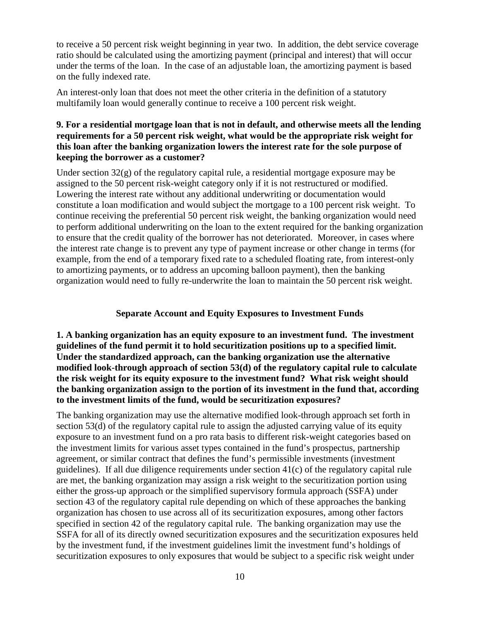to receive a 50 percent risk weight beginning in year two. In addition, the debt service coverage ratio should be calculated using the amortizing payment (principal and interest) that will occur under the terms of the loan. In the case of an adjustable loan, the amortizing payment is based on the fully indexed rate.

An interest-only loan that does not meet the other criteria in the definition of a statutory multifamily loan would generally continue to receive a 100 percent risk weight.

### **9. For a residential mortgage loan that is not in default, and otherwise meets all the lending requirements for a 50 percent risk weight, what would be the appropriate risk weight for this loan after the banking organization lowers the interest rate for the sole purpose of keeping the borrower as a customer?**

Under section 32(g) of the regulatory capital rule, a residential mortgage exposure may be assigned to the 50 percent risk-weight category only if it is not restructured or modified. Lowering the interest rate without any additional underwriting or documentation would constitute a loan modification and would subject the mortgage to a 100 percent risk weight. To continue receiving the preferential 50 percent risk weight, the banking organization would need to perform additional underwriting on the loan to the extent required for the banking organization to ensure that the credit quality of the borrower has not deteriorated. Moreover, in cases where the interest rate change is to prevent any type of payment increase or other change in terms (for example, from the end of a temporary fixed rate to a scheduled floating rate, from interest-only to amortizing payments, or to address an upcoming balloon payment), then the banking organization would need to fully re-underwrite the loan to maintain the 50 percent risk weight.

## **Separate Account and Equity Exposures to Investment Funds**

**1. A banking organization has an equity exposure to an investment fund. The investment guidelines of the fund permit it to hold securitization positions up to a specified limit. Under the standardized approach, can the banking organization use the alternative modified look-through approach of section 53(d) of the regulatory capital rule to calculate the risk weight for its equity exposure to the investment fund? What risk weight should the banking organization assign to the portion of its investment in the fund that, according to the investment limits of the fund, would be securitization exposures?**

The banking organization may use the alternative modified look-through approach set forth in section 53(d) of the regulatory capital rule to assign the adjusted carrying value of its equity exposure to an investment fund on a pro rata basis to different risk-weight categories based on the investment limits for various asset types contained in the fund's prospectus, partnership agreement, or similar contract that defines the fund's permissible investments (investment guidelines). If all due diligence requirements under section 41(c) of the regulatory capital rule are met, the banking organization may assign a risk weight to the securitization portion using either the gross-up approach or the simplified supervisory formula approach (SSFA) under section 43 of the regulatory capital rule depending on which of these approaches the banking organization has chosen to use across all of its securitization exposures, among other factors specified in section 42 of the regulatory capital rule. The banking organization may use the SSFA for all of its directly owned securitization exposures and the securitization exposures held by the investment fund, if the investment guidelines limit the investment fund's holdings of securitization exposures to only exposures that would be subject to a specific risk weight under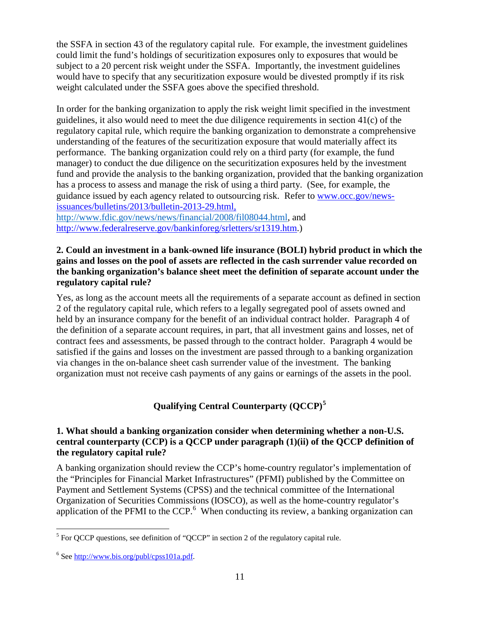the SSFA in section 43 of the regulatory capital rule. For example, the investment guidelines could limit the fund's holdings of securitization exposures only to exposures that would be subject to a 20 percent risk weight under the SSFA. Importantly, the investment guidelines would have to specify that any securitization exposure would be divested promptly if its risk weight calculated under the SSFA goes above the specified threshold.

In order for the banking organization to apply the risk weight limit specified in the investment guidelines, it also would need to meet the due diligence requirements in section  $41(c)$  of the regulatory capital rule, which require the banking organization to demonstrate a comprehensive understanding of the features of the securitization exposure that would materially affect its performance. The banking organization could rely on a third party (for example, the fund manager) to conduct the due diligence on the securitization exposures held by the investment fund and provide the analysis to the banking organization, provided that the banking organization has a process to assess and manage the risk of using a third party. (See, for example, the guidance issued by each agency related to outsourcing risk. Refer to [www.occ.gov/news](http://www.occ.gov/news-issuances/bulletins/2013/bulletin-2013-29.html)[issuances/bulletins/2013/bulletin-2013-29.html,](http://www.occ.gov/news-issuances/bulletins/2013/bulletin-2013-29.html)

[http://www.fdic.gov/news/news/financial/2008/fil08044.html,](http://www.fdic.gov/news/news/financial/2008/fil08044.html) and http://www.federalreserve.gov/bankinforeg/srletters/sr1319.htm.)

#### **2. Could an investment in a bank-owned life insurance (BOLI) hybrid product in which the gains and losses on the pool of assets are reflected in the cash surrender value recorded on the banking organization's balance sheet meet the definition of separate account under the regulatory capital rule?**

Yes, as long as the account meets all the requirements of a separate account as defined in section 2 of the regulatory capital rule, which refers to a legally segregated pool of assets owned and held by an insurance company for the benefit of an individual contract holder. Paragraph 4 of the definition of a separate account requires, in part, that all investment gains and losses, net of contract fees and assessments, be passed through to the contract holder. Paragraph 4 would be satisfied if the gains and losses on the investment are passed through to a banking organization via changes in the on-balance sheet cash surrender value of the investment. The banking organization must not receive cash payments of any gains or earnings of the assets in the pool.

**Qualifying Central Counterparty (QCCP)[5](#page-10-0)**

## **1. What should a banking organization consider when determining whether a non-U.S. central counterparty (CCP) is a QCCP under paragraph (1)(ii) of the QCCP definition of the regulatory capital rule?**

A banking organization should review the CCP's home-country regulator's implementation of the "Principles for Financial Market Infrastructures" (PFMI) published by the Committee on Payment and Settlement Systems (CPSS) and the technical committee of the International Organization of Securities Commissions (IOSCO), as well as the home-country regulator's application of the PFMI to the CCP.<sup>[6](#page-10-1)</sup> When conducting its review, a banking organization can

<span id="page-10-0"></span> $<sup>5</sup>$  For QCCP questions, see definition of "QCCP" in section 2 of the regulatory capital rule.</sup>  $\overline{\phantom{a}}$ 

<span id="page-10-1"></span><sup>6</sup> See [http://www.bis.org/publ/cpss101a.pdf.](http://www.bis.org/publ/cpss101a.pdf)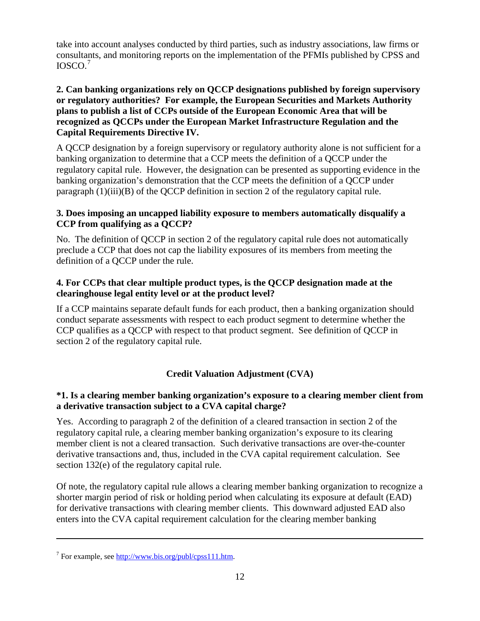take into account analyses conducted by third parties, such as industry associations, law firms or consultants, and monitoring reports on the implementation of the PFMIs published by CPSS and IOSCO. [7](#page-11-0)

## **2. Can banking organizations rely on QCCP designations published by foreign supervisory or regulatory authorities? For example, the European Securities and Markets Authority plans to publish a list of CCPs outside of the European Economic Area that will be recognized as QCCPs under the European Market Infrastructure Regulation and the Capital Requirements Directive IV.**

A QCCP designation by a foreign supervisory or regulatory authority alone is not sufficient for a banking organization to determine that a CCP meets the definition of a QCCP under the regulatory capital rule. However, the designation can be presented as supporting evidence in the banking organization's demonstration that the CCP meets the definition of a QCCP under paragraph  $(1)(iii)(B)$  of the OCCP definition in section 2 of the regulatory capital rule.

## **3. Does imposing an uncapped liability exposure to members automatically disqualify a CCP from qualifying as a QCCP?**

No. The definition of QCCP in section 2 of the regulatory capital rule does not automatically preclude a CCP that does not cap the liability exposures of its members from meeting the definition of a QCCP under the rule.

### **4. For CCPs that clear multiple product types, is the QCCP designation made at the clearinghouse legal entity level or at the product level?**

If a CCP maintains separate default funds for each product, then a banking organization should conduct separate assessments with respect to each product segment to determine whether the CCP qualifies as a QCCP with respect to that product segment. See definition of QCCP in section 2 of the regulatory capital rule.

# **Credit Valuation Adjustment (CVA)**

## **\*1. Is a clearing member banking organization's exposure to a clearing member client from a derivative transaction subject to a CVA capital charge?**

Yes. According to paragraph 2 of the definition of a cleared transaction in section 2 of the regulatory capital rule, a clearing member banking organization's exposure to its clearing member client is not a cleared transaction. Such derivative transactions are over-the-counter derivative transactions and, thus, included in the CVA capital requirement calculation. See section 132(e) of the regulatory capital rule.

Of note, the regulatory capital rule allows a clearing member banking organization to recognize a shorter margin period of risk or holding period when calculating its exposure at default (EAD) for derivative transactions with clearing member clients. This downward adjusted EAD also enters into the CVA capital requirement calculation for the clearing member banking

l

<span id="page-11-0"></span> $7$  For example, see [http://www.bis.org/publ/cpss111.htm.](http://www.bis.org/publ/cpss111.htm)